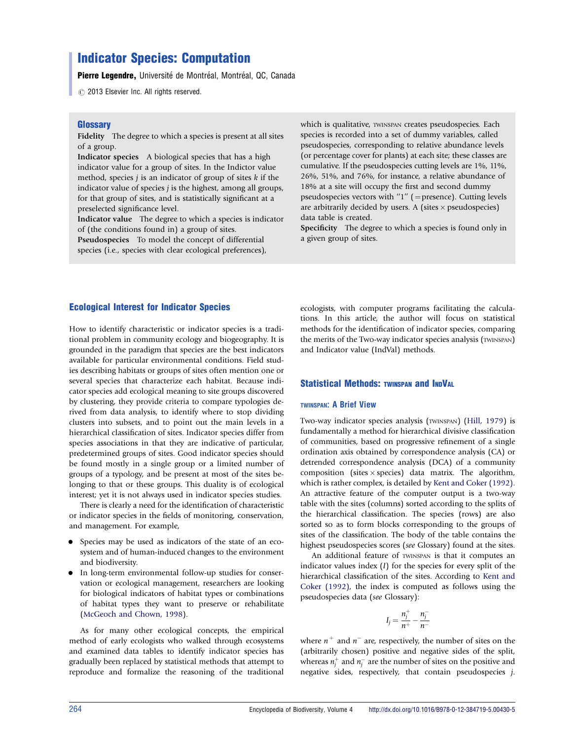# Indicator Species: Computation

Pierre Legendre, Université de Montréal, Montréal, QC, Canada

 $\odot$  2013 Elsevier Inc. All rights reserved.

#### **Glossary**

Fidelity The degree to which a species is present at all sites of a group.

Indicator species A biological species that has a high indicator value for a group of sites. In the Indictor value method, species  $j$  is an indicator of group of sites  $k$  if the indicator value of species  $j$  is the highest, among all groups, for that group of sites, and is statistically significant at a preselected significance level.

Indicator value The degree to which a species is indicator of (the conditions found in) a group of sites.

Pseudospecies To model the concept of differential species (i.e., species with clear ecological preferences), which is qualitative, TWINSPAN creates pseudospecies. Each species is recorded into a set of dummy variables, called pseudospecies, corresponding to relative abundance levels (or percentage cover for plants) at each site; these classes are cumulative. If the pseudospecies cutting levels are 1%, 11%, 26%, 51%, and 76%, for instance, a relative abundance of 18% at a site will occupy the first and second dummy pseudospecies vectors with " $1$ " (=presence). Cutting levels are arbitrarily decided by users. A (sites  $\times$  pseudospecies) data table is created.

Specificity The degree to which a species is found only in a given group of sites.

#### Ecological Interest for Indicator Species

How to identify characteristic or indicator species is a traditional problem in community ecology and biogeography. It is grounded in the paradigm that species are the best indicators available for particular environmental conditions. Field studies describing habitats or groups of sites often mention one or several species that characterize each habitat. Because indicator species add ecological meaning to site groups discovered by clustering, they provide criteria to compare typologies derived from data analysis, to identify where to stop dividing clusters into subsets, and to point out the main levels in a hierarchical classification of sites. Indicator species differ from species associations in that they are indicative of particular, predetermined groups of sites. Good indicator species should be found mostly in a single group or a limited number of groups of a typology, and be present at most of the sites belonging to that or these groups. This duality is of ecological interest; yet it is not always used in indicator species studies.

There is clearly a need for the identification of characteristic or indicator species in the fields of monitoring, conservation, and management. For example,

- Species may be used as indicators of the state of an ecosystem and of human-induced changes to the environment and biodiversity.
- In long-term environmental follow-up studies for conservation or ecological management, researchers are looking for biological indicators of habitat types or combinations of habitat types they want to preserve or rehabilitate [\(McGeoch and Chown, 1998](#page-4-0)).

As for many other ecological concepts, the empirical method of early ecologists who walked through ecosystems and examined data tables to identify indicator species has gradually been replaced by statistical methods that attempt to reproduce and formalize the reasoning of the traditional

ecologists, with computer programs facilitating the calculations. In this article, the author will focus on statistical methods for the identification of indicator species, comparing the merits of the Two-way indicator species analysis (TWINSPAN) and Indicator value (IndVal) methods.

#### Statistical Methods: TWINSPAN and INDVAL

#### TWINSPAN: A Brief View

Two-way indicator species analysis (TWINSPAN) ([Hill, 1979](#page-4-0)) is fundamentally a method for hierarchical divisive classification of communities, based on progressive refinement of a single ordination axis obtained by correspondence analysis (CA) or detrended correspondence analysis (DCA) of a community composition (sites  $\times$  species) data matrix. The algorithm, which is rather complex, is detailed by [Kent and Coker \(1992\).](#page-4-0) An attractive feature of the computer output is a two-way table with the sites (columns) sorted according to the splits of the hierarchical classification. The species (rows) are also sorted so as to form blocks corresponding to the groups of sites of the classification. The body of the table contains the highest pseudospecies scores (see Glossary) found at the sites.

An additional feature of TWINSPAN is that it computes an indicator values index  $(I)$  for the species for every split of the hierarchical classification of the sites. According to [Kent and](#page-4-0) [Coker \(1992\),](#page-4-0) the index is computed as follows using the pseudospecies data (see Glossary):

$$
I_j=\frac{n_j^+}{n^+}-\frac{n_j^-}{n^-}
$$

where  $n^{+}$  and  $n^{-}$  are, respectively, the number of sites on the (arbitrarily chosen) positive and negative sides of the split, whereas  $n_j^+$  and  $n_j^-$  are the number of sites on the positive and negative sides, respectively, that contain pseudospecies j.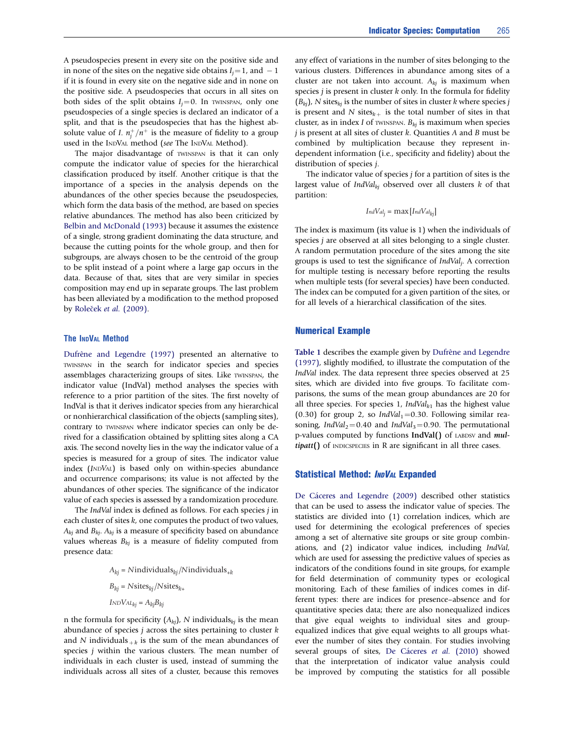A pseudospecies present in every site on the positive side and in none of the sites on the negative side obtains  $I_i = 1$ , and  $-1$ if it is found in every site on the negative side and in none on the positive side. A pseudospecies that occurs in all sites on both sides of the split obtains  $I_i = 0$ . In TWINSPAN, only one pseudospecies of a single species is declared an indicator of a split, and that is the pseudospecies that has the highest absolute value of I.  $n_j^+/n^+$  is the measure of fidelity to a group used in the INDVAL method (see The INDVAL Method).

The major disadvantage of TWINSPAN is that it can only compute the indicator value of species for the hierarchical classification produced by itself. Another critique is that the importance of a species in the analysis depends on the abundances of the other species because the pseudospecies, which form the data basis of the method, are based on species relative abundances. The method has also been criticized by [Belbin and McDonald \(1993\)](#page-4-0) because it assumes the existence of a single, strong gradient dominating the data structure, and because the cutting points for the whole group, and then for subgroups, are always chosen to be the centroid of the group to be split instead of a point where a large gap occurs in the data. Because of that, sites that are very similar in species composition may end up in separate groups. The last problem has been alleviated by a modification to the method proposed by Roleček et al. (2009).

#### The INDVAL Method

Dufrêne and Legendre (1997) presented an alternative to TWINSPAN in the search for indicator species and species assemblages characterizing groups of sites. Like TWINSPAN, the indicator value (IndVal) method analyses the species with reference to a prior partition of the sites. The first novelty of IndVal is that it derives indicator species from any hierarchical or nonhierarchical classification of the objects (sampling sites), contrary to TWINSPAN where indicator species can only be derived for a classification obtained by splitting sites along a CA axis. The second novelty lies in the way the indicator value of a species is measured for a group of sites. The indicator value index (INDVAL) is based only on within-species abundance and occurrence comparisons; its value is not affected by the abundances of other species. The significance of the indicator value of each species is assessed by a randomization procedure.

The IndVal index is defined as follows. For each species j in each cluster of sites  $k$ , one computes the product of two values,  $A_{kj}$  and  $B_{kj}$ .  $A_{kj}$  is a measure of specificity based on abundance values whereas  $B_{kj}$  is a measure of fidelity computed from presence data:

$$
A_{kj} = Nindividuals_{kj}/Nindividuals_{+k}
$$
  

$$
B_{kj} = Nsites_{kj}/Nsites_{k+}
$$
  

$$
INDVAI_{kj} = A_{kj}B_{kj}
$$

n the formula for specificity  $(A_{kj})$ , N individuals<sub>kj</sub> is the mean abundance of species  $j$  across the sites pertaining to cluster  $k$ and N individuals  $_{+k}$  is the sum of the mean abundances of species  $j$  within the various clusters. The mean number of individuals in each cluster is used, instead of summing the individuals across all sites of a cluster, because this removes

any effect of variations in the number of sites belonging to the various clusters. Differences in abundance among sites of a cluster are not taken into account.  $A_{ki}$  is maximum when species  $j$  is present in cluster  $k$  only. In the formula for fidelity  $(B_{ki})$ , N sites<sub>ki</sub> is the number of sites in cluster k where species j is present and  $N$  sites $_{k+}$  is the total number of sites in that cluster, as in index I of TWINSPAN.  $B_{ki}$  is maximum when species  $j$  is present at all sites of cluster  $k$ . Quantities  $A$  and  $B$  must be combined by multiplication because they represent independent information (i.e., specificity and fidelity) about the distribution of species j.

The indicator value of species j for a partition of sites is the largest value of IndVal<sub>ki</sub> observed over all clusters  $k$  of that partition:

$$
IndVal_j = \max[IndVal_{kj}]
$$

The index is maximum (its value is 1) when the individuals of species j are observed at all sites belonging to a single cluster. A random permutation procedure of the sites among the site groups is used to test the significance of IndValj. A correction for multiple testing is necessary before reporting the results when multiple tests (for several species) have been conducted. The index can be computed for a given partition of the sites, or for all levels of a hierarchical classification of the sites.

## Numerical Example

[Table 1](#page-2-0) describes the example given by Dufrêne and Legendre [\(1997\),](#page-4-0) slightly modified, to illustrate the computation of the IndVal index. The data represent three species observed at 25 sites, which are divided into five groups. To facilitate comparisons, the sums of the mean group abundances are 20 for all three species. For species 1,  $IndVal_{k1}$  has the highest value (0.30) for group 2, so  $IndVal_1=0.30$ . Following similar reasoning, IndVal<sub>2</sub>=0.40 and IndVal<sub>3</sub>=0.90. The permutational p-values computed by functions IndVal() of LABDSV and multipatt() of INDICSPECIES in R are significant in all three cases.

## Statistical Method: INDVAL Expanded

De Cáceres and Legendre (2009) described other statistics that can be used to assess the indicator value of species. The statistics are divided into (1) correlation indices, which are used for determining the ecological preferences of species among a set of alternative site groups or site group combinations, and (2) indicator value indices, including IndVal, which are used for assessing the predictive values of species as indicators of the conditions found in site groups, for example for field determination of community types or ecological monitoring. Each of these families of indices comes in different types: there are indices for presence–absence and for quantitative species data; there are also nonequalized indices that give equal weights to individual sites and groupequalized indices that give equal weights to all groups whatever the number of sites they contain. For studies involving several groups of sites, De Cáceres et al. (2010) showed that the interpretation of indicator value analysis could be improved by computing the statistics for all possible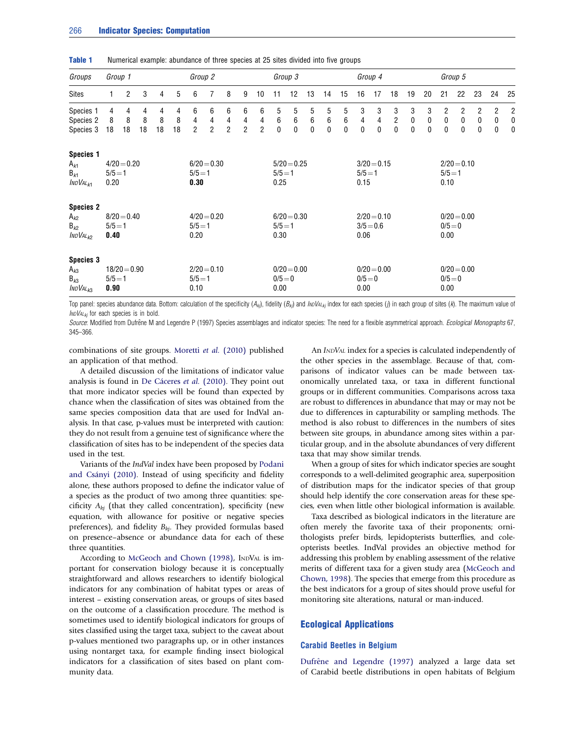| Groups                                                             | Group 1                             |                |              |              |                                    | Group 2                            |                          |                          |             | Group 3                            |                                    |             |                       |             |                                    | Group 4                              |             |                                    |             | Group 5                            |                                    |             |                                    |                          |                          |  |
|--------------------------------------------------------------------|-------------------------------------|----------------|--------------|--------------|------------------------------------|------------------------------------|--------------------------|--------------------------|-------------|------------------------------------|------------------------------------|-------------|-----------------------|-------------|------------------------------------|--------------------------------------|-------------|------------------------------------|-------------|------------------------------------|------------------------------------|-------------|------------------------------------|--------------------------|--------------------------|--|
| <b>Sites</b>                                                       |                                     | $\overline{2}$ | 3            | 4            | 5                                  | 6                                  | 7                        | 8                        | 9           | 10                                 | 11                                 | 12          | 13                    | 14          | 15                                 | 16                                   | 17          | 18                                 | 19          | 20                                 | 21                                 | 22          | 23                                 | 24                       | 25                       |  |
| Species 1<br>Species 2<br>Species 3                                | 4<br>8<br>18                        | 4<br>8<br>18   | 4<br>8<br>18 | 4<br>8<br>18 | 4<br>8<br>18                       | 6<br>4<br>$\overline{2}$           | 6<br>4<br>$\overline{2}$ | 6<br>4<br>$\overline{2}$ | 6<br>4<br>2 | 6<br>4<br>$\overline{2}$           | 5<br>6<br>0                        | 5<br>6<br>0 | 5<br>6<br>$\mathbf 0$ | 5<br>6<br>0 | 5<br>6<br>0                        | 3<br>4<br>0                          | 3<br>4<br>0 | 3<br>$\overline{2}$<br>$\mathbf 0$ | 3<br>0<br>0 | 3<br>$\mathbf 0$<br>0              | 2<br>0<br>0                        | 2<br>0<br>0 | $\overline{2}$<br>0<br>$\mathbf 0$ | $\overline{2}$<br>0<br>0 | $\overline{c}$<br>0<br>0 |  |
| <b>Species 1</b><br>A <sub>k1</sub><br>$B_{k1}$<br><b>INDVALK1</b> | $4/20 = 0.20$<br>$5/5 = 1$<br>0.20  |                |              |              |                                    | $6/20 = 0.30$<br>$5/5 = 1$<br>0.30 |                          |                          |             |                                    | $5/20 = 0.25$<br>$5/5 = 1$<br>0.25 |             |                       |             |                                    | $3/20 = 0.15$<br>$5/5 = 1$<br>0.15   |             |                                    |             |                                    | $2/20 = 0.10$<br>$5/5 = 1$<br>0.10 |             |                                    |                          |                          |  |
| <b>Species 2</b><br>$A_{k2}$<br>$B_{k2}$<br>$InvVAL_{k2}$          | $8/20 = 0.40$<br>$5/5 = 1$<br>0.40  |                |              |              |                                    | $4/20 = 0.20$<br>$5/5 = 1$<br>0.20 |                          |                          |             |                                    | $6/20 = 0.30$<br>$5/5 = 1$<br>0.30 |             |                       |             |                                    | $2/20 = 0.10$<br>$3/5 = 0.6$<br>0.06 |             |                                    |             |                                    | $0/20 = 0.00$<br>$0/5 = 0$<br>0.00 |             |                                    |                          |                          |  |
| Species 3<br>$A_{k3}$<br>$B_{k3}$<br>$INDVAL_{k3}$                 | $18/20 = 0.90$<br>$5/5 = 1$<br>0.90 |                |              |              | $2/20 = 0.10$<br>$5/5 = 1$<br>0.10 |                                    |                          |                          |             | $0/20 = 0.00$<br>$0/5 = 0$<br>0.00 |                                    |             |                       |             | $0/20 = 0.00$<br>$0/5 = 0$<br>0.00 |                                      |             |                                    |             | $0/20 = 0.00$<br>$0/5 = 0$<br>0.00 |                                    |             |                                    |                          |                          |  |

<span id="page-2-0"></span>**Table 1** Numerical example: abundance of three species at 25 sites divided into five groups

Top panel: species abundance data. Bottom: calculation of the specificity  $(A_{kl})$ , fidelity  $(B_{kl})$  and  $I_{ub}$  index for each species (j) in each group of sites (k). The maximum value of  $InvVAL_{ki}$  for each species is in bold.

Source: Modified from Dufrêne M and Legendre P (1997) Species assemblages and indicator species: The need for a flexible asymmetrical approach. Ecological Monographs 67, 345–366.

combinations of site groups. [Moretti](#page-4-0) et al. (2010) published an application of that method.

A detailed discussion of the limitations of indicator value analysis is found in De Cáceres et al. (2010). They point out that more indicator species will be found than expected by chance when the classification of sites was obtained from the same species composition data that are used for IndVal analysis. In that case, p-values must be interpreted with caution: they do not result from a genuine test of significance where the classification of sites has to be independent of the species data used in the test.

Variants of the IndVal index have been proposed by [Podani](#page-4-0) and Csányi (2010). Instead of using specificity and fidelity alone, these authors proposed to define the indicator value of a species as the product of two among three quantities: specificity  $A_{ki}$  (that they called concentration), specificity (new equation, with allowance for positive or negative species preferences), and fidelity  $B_{ki}$ . They provided formulas based on presence–absence or abundance data for each of these three quantities.

According to [McGeoch and Chown \(1998\),](#page-4-0) INDVAL is important for conservation biology because it is conceptually straightforward and allows researchers to identify biological indicators for any combination of habitat types or areas of interest – existing conservation areas, or groups of sites based on the outcome of a classification procedure. The method is sometimes used to identify biological indicators for groups of sites classified using the target taxa, subject to the caveat about p-values mentioned two paragraphs up, or in other instances using nontarget taxa, for example finding insect biological indicators for a classification of sites based on plant community data.

An INDVAL index for a species is calculated independently of the other species in the assemblage. Because of that, comparisons of indicator values can be made between taxonomically unrelated taxa, or taxa in different functional groups or in different communities. Comparisons across taxa are robust to differences in abundance that may or may not be due to differences in capturability or sampling methods. The method is also robust to differences in the numbers of sites between site groups, in abundance among sites within a particular group, and in the absolute abundances of very different taxa that may show similar trends.

When a group of sites for which indicator species are sought corresponds to a well-delimited geographic area, superposition of distribution maps for the indicator species of that group should help identify the core conservation areas for these species, even when little other biological information is available.

Taxa described as biological indicators in the literature are often merely the favorite taxa of their proponents; ornithologists prefer birds, lepidopterists butterflies, and coleopterists beetles. IndVal provides an objective method for addressing this problem by enabling assessment of the relative merits of different taxa for a given study area [\(McGeoch and](#page-4-0) [Chown, 1998\)](#page-4-0). The species that emerge from this procedure as the best indicators for a group of sites should prove useful for monitoring site alterations, natural or man-induced.

#### Ecological Applications

#### Carabid Beetles in Belgium

Dufrêne and Legendre (1997) analyzed a large data set of Carabid beetle distributions in open habitats of Belgium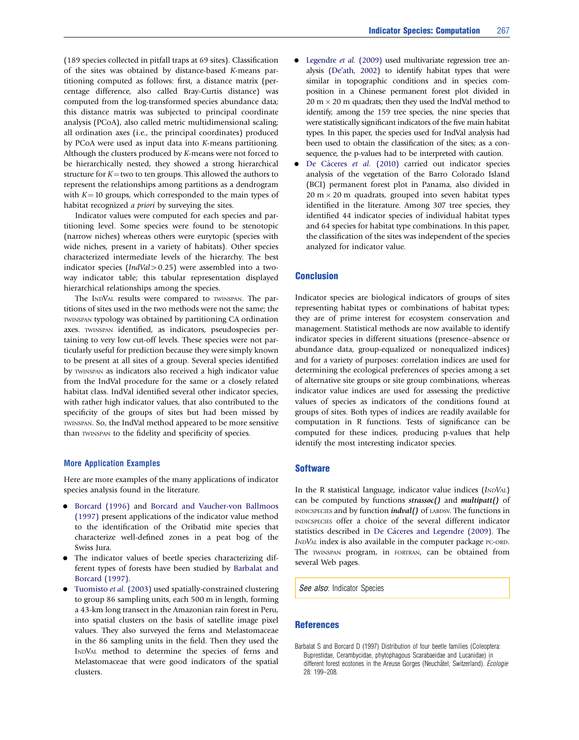(189 species collected in pitfall traps at 69 sites). Classification of the sites was obtained by distance-based K-means partitioning computed as follows: first, a distance matrix (percentage difference, also called Bray-Curtis distance) was computed from the log-transformed species abundance data; this distance matrix was subjected to principal coordinate analysis (PCoA), also called metric multidimensional scaling; all ordination axes (i.e., the principal coordinates) produced by PCoA were used as input data into K-means partitioning. Although the clusters produced by K-means were not forced to be hierarchically nested, they showed a strong hierarchical structure for  $K=$  two to ten groups. This allowed the authors to represent the relationships among partitions as a dendrogram with  $K=10$  groups, which corresponded to the main types of habitat recognized a priori by surveying the sites.

Indicator values were computed for each species and partitioning level. Some species were found to be stenotopic (narrow niches) whereas others were eurytopic (species with wide niches, present in a variety of habitats). Other species characterized intermediate levels of the hierarchy. The best indicator species (IndVal $>$ 0.25) were assembled into a twoway indicator table; this tabular representation displayed hierarchical relationships among the species.

The INDVAL results were compared to TWINSPAN. The partitions of sites used in the two methods were not the same; the TWINSPAN typology was obtained by partitioning CA ordination axes. TWINSPAN identified, as indicators, pseudospecies pertaining to very low cut-off levels. These species were not particularly useful for prediction because they were simply known to be present at all sites of a group. Several species identified by TWINSPAN as indicators also received a high indicator value from the IndVal procedure for the same or a closely related habitat class. IndVal identified several other indicator species, with rather high indicator values, that also contributed to the specificity of the groups of sites but had been missed by TWINSPAN. So, the IndVal method appeared to be more sensitive than TWINSPAN to the fidelity and specificity of species.

# More Application Examples

Here are more examples of the many applications of indicator species analysis found in the literature.

- [Borcard \(1996\)](#page-4-0) and [Borcard and Vaucher-von Ballmoos](#page-4-0) [\(1997\)](#page-4-0) present applications of the indicator value method to the identification of the Oribatid mite species that characterize well-defined zones in a peat bog of the Swiss Jura.
- The indicator values of beetle species characterizing different types of forests have been studied by Barbalat and Borcard (1997).
- [Tuomisto](#page-4-0) et al. (2003) used spatially-constrained clustering to group 86 sampling units, each 500 m in length, forming a 43-km long transect in the Amazonian rain forest in Peru, into spatial clusters on the basis of satellite image pixel values. They also surveyed the ferns and Melastomaceae in the 86 sampling units in the field. Then they used the INDVAL method to determine the species of ferns and Melastomaceae that were good indicators of the spatial clusters.
- [Legendre](#page-4-0) et al. (2009) used multivariate regression tree analysis ([De'ath, 2002\)](#page-4-0) to identify habitat types that were similar in topographic conditions and in species composition in a Chinese permanent forest plot divided in  $20 \text{ m} \times 20 \text{ m}$  quadrats; then they used the IndVal method to identify, among the 159 tree species, the nine species that were statistically significant indicators of the five main habitat types. In this paper, the species used for IndVal analysis had been used to obtain the classification of the sites; as a consequence, the p-values had to be interpreted with caution.
- De Cáceres et al. (2010) carried out indicator species analysis of the vegetation of the Barro Colorado Island (BCI) permanent forest plot in Panama, also divided in  $20 \text{ m} \times 20 \text{ m}$  quadrats, grouped into seven habitat types identified in the literature. Among 307 tree species, they identified 44 indicator species of individual habitat types and 64 species for habitat type combinations. In this paper, the classification of the sites was independent of the species analyzed for indicator value.

## **Conclusion**

Indicator species are biological indicators of groups of sites representing habitat types or combinations of habitat types; they are of prime interest for ecosystem conservation and management. Statistical methods are now available to identify indicator species in different situations (presence–absence or abundance data, group-equalized or nonequalized indices) and for a variety of purposes: correlation indices are used for determining the ecological preferences of species among a set of alternative site groups or site group combinations, whereas indicator value indices are used for assessing the predictive values of species as indicators of the conditions found at groups of sites. Both types of indices are readily available for computation in R functions. Tests of significance can be computed for these indices, producing p-values that help identify the most interesting indicator species.

# **Software**

In the R statistical language, indicator value indices (INDVAL) can be computed by functions strassoc() and multipatt() of INDICSPECIES and by function indval() of LABDSV. The functions in INDICSPECIES offer a choice of the several different indicator statistics described in De Cáceres and Legendre (2009). The INDVAL index is also available in the computer package PC-ORD. The TWINSPAN program, in FORTRAN, can be obtained from several Web pages.

See also: Indicator Species

## **References**

Barbalat S and Borcard D (1997) Distribution of four beetle families (Coleoptera: Buprestidae, Cerambycidae, phytophagous Scarabaeidae and Lucanidae) in different forest ecotones in the Areuse Gorges (Neuchâtel, Switzerland). Écologie 28: 199–208.